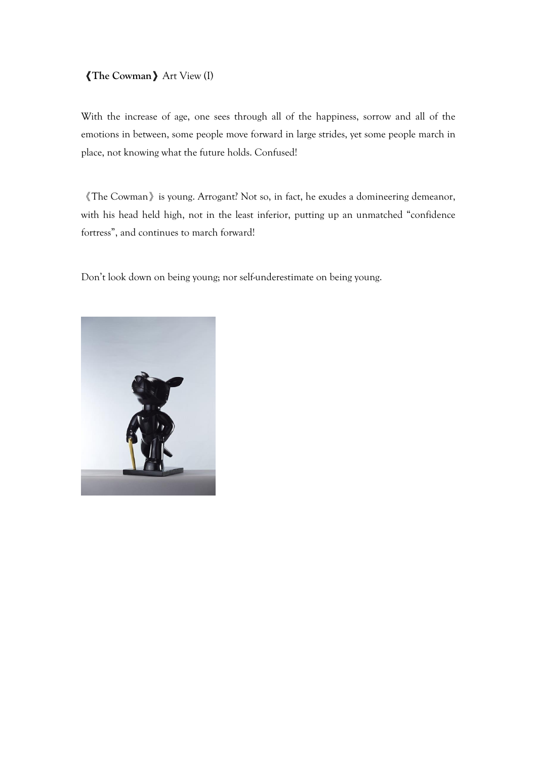#### 《**The Cowman**》Art View (I)

With the increase of age, one sees through all of the happiness, sorrow and all of the emotions in between, some people move forward in large strides, yet some people march in place, not knowing what the future holds. Confused!

《The Cowman》is young. Arrogant? Not so, in fact, he exudes a domineering demeanor, with his head held high, not in the least inferior, putting up an unmatched "confidence fortress", and continues to march forward!

Don't look down on being young; nor self-underestimate on being young.

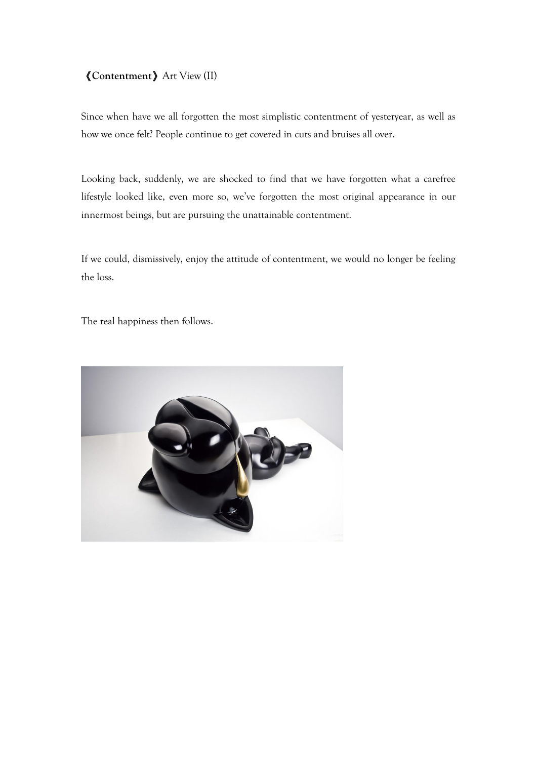# 《**Contentment**》Art View (II)

Since when have we all forgotten the most simplistic contentment of yesteryear, as well as how we once felt? People continue to get covered in cuts and bruises all over.

Looking back, suddenly, we are shocked to find that we have forgotten what a carefree lifestyle looked like, even more so, we've forgotten the most original appearance in our innermost beings, but are pursuing the unattainable contentment.

If we could, dismissively, enjoy the attitude of contentment, we would no longer be feeling the loss.

The real happiness then follows.

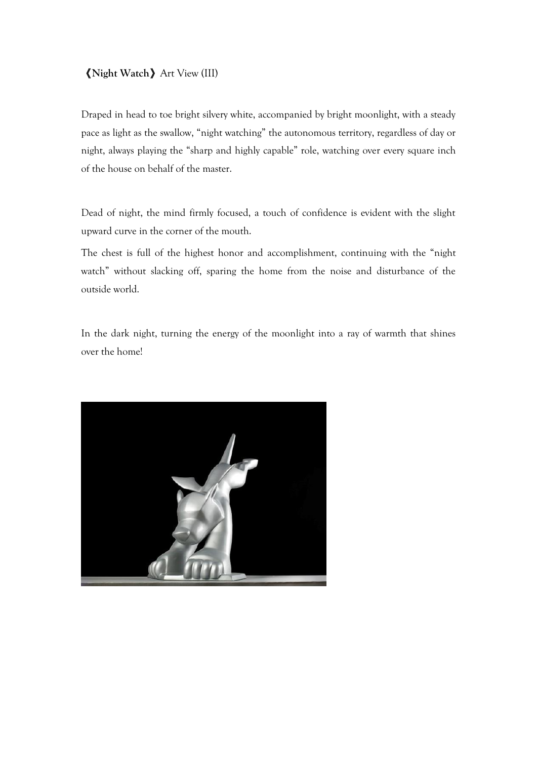#### 《**Night Watch**》Art View (III)

Draped in head to toe bright silvery white, accompanied by bright moonlight, with a steady pace as light as the swallow, "night watching" the autonomous territory, regardless of day or night, always playing the "sharp and highly capable" role, watching over every square inch of the house on behalf of the master.

Dead of night, the mind firmly focused, a touch of confidence is evident with the slight upward curve in the corner of the mouth.

The chest is full of the highest honor and accomplishment, continuing with the "night watch" without slacking off, sparing the home from the noise and disturbance of the outside world.

In the dark night, turning the energy of the moonlight into a ray of warmth that shines over the home!

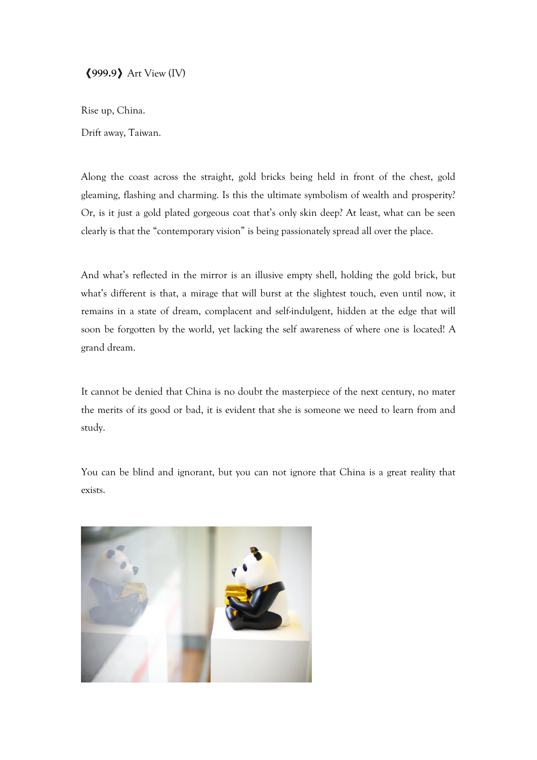《**999.9**》Art View (IV)

Rise up, China.

Drift away, Taiwan.

Along the coast across the straight, gold bricks being held in front of the chest, gold gleaming, flashing and charming. Is this the ultimate symbolism of wealth and prosperity? Or, is it just a gold plated gorgeous coat that's only skin deep? At least, what can be seen clearly is that the "contemporary vision" is being passionately spread all over the place.

And what's reflected in the mirror is an illusive empty shell, holding the gold brick, but what's different is that, a mirage that will burst at the slightest touch, even until now, it remains in a state of dream, complacent and self-indulgent, hidden at the edge that will soon be forgotten by the world, yet lacking the self awareness of where one is located! A grand dream.

It cannot be denied that China is no doubt the masterpiece of the next century, no mater the merits of its good or bad, it is evident that she is someone we need to learn from and study.

You can be blind and ignorant, but you can not ignore that China is a great reality that exists.

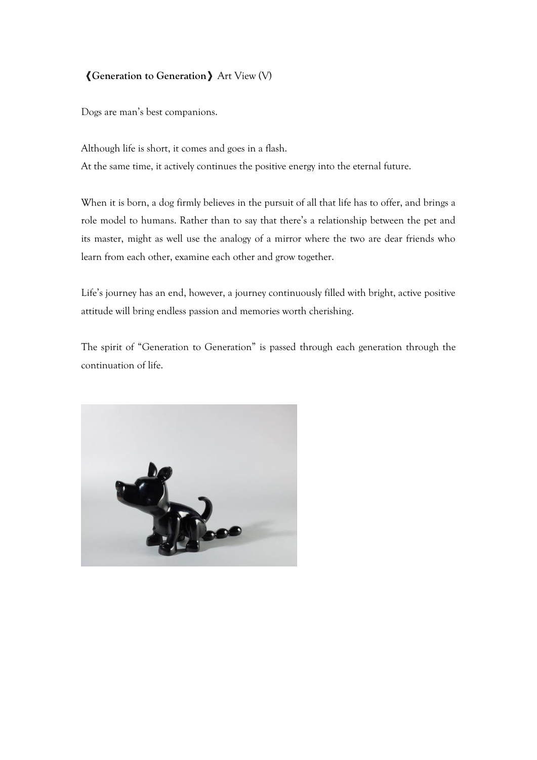### 《**Generation to Generation**》Art View (V)

Dogs are man's best companions.

Although life is short, it comes and goes in a flash. At the same time, it actively continues the positive energy into the eternal future.

When it is born, a dog firmly believes in the pursuit of all that life has to offer, and brings a role model to humans. Rather than to say that there's a relationship between the pet and its master, might as well use the analogy of a mirror where the two are dear friends who learn from each other, examine each other and grow together.

Life's journey has an end, however, a journey continuously filled with bright, active positive attitude will bring endless passion and memories worth cherishing.

The spirit of "Generation to Generation" is passed through each generation through the continuation of life.